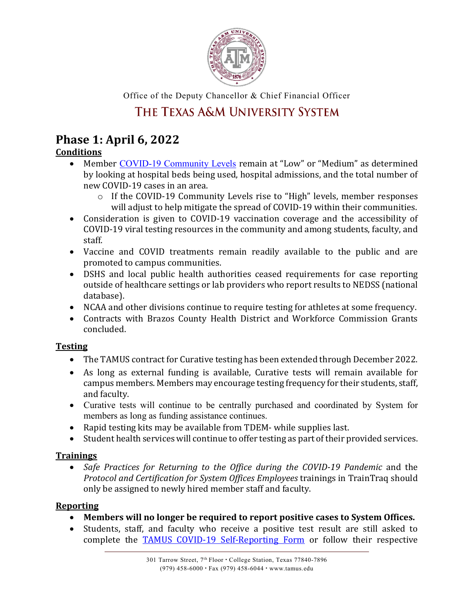

Office of the Deputy Chancellor & Chief Financial Officer

## THE TEXAS A&M UNIVERSITY SYSTEM

# **Phase 1: April 6, 2022**

## **Conditions**

- Member [COVID-19 Community Levels](https://www.cdc.gov/coronavirus/2019-ncov/your-health/covid-by-county.html?msclkid=363486a4aa1211ec953732fcc9e9a75e) remain at "Low" or "Medium" as determined by looking at hospital beds being used, hospital admissions, and the total number of new COVID-19 cases in an area.
	- o If the COVID-19 Community Levels rise to "High" levels, member responses will adjust to help mitigate the spread of COVID-19 within their communities.
- Consideration is given to COVID-19 vaccination coverage and the accessibility of COVID-19 viral testing resources in the community and among students, faculty, and staff.
- Vaccine and COVID treatments remain readily available to the public and are promoted to campus communities.
- DSHS and local public health authorities ceased requirements for case reporting outside of healthcare settings or lab providers who report results to NEDSS (national database).
- NCAA and other divisions continue to require testing for athletes at some frequency.
- Contracts with Brazos County Health District and Workforce Commission Grants concluded.

#### **Testing**

- The TAMUS contract for Curative testing has been extended through December 2022.
- As long as external funding is available, Curative tests will remain available for campus members. Members may encourage testing frequency for their students, staff, and faculty.
- Curative tests will continue to be centrally purchased and coordinated by System for members as long as funding assistance continues.
- Rapid testing kits may be available from TDEM- while supplies last.
- Student health services will continue to offer testing as part of their provided services.

## **Trainings**

• *Safe Practices for Returning to the Office during the COVID-19 Pandemic* and the *Protocol and Certification for System Offices Employees* trainings in TrainTraq should only be assigned to newly hired member staff and faculty.

## **Reporting**

- **Members will no longer be required to report positive cases to System Offices.**
- Students, staff, and faculty who receive a positive test result are still asked to complete the [TAMUS COVID-19 Self-Reporting Form](https://redcap.tamhsc.edu/surveys/?s=N38DRD4EMK&_ga=2.126653773.1934967988.1648591004-354634547.1638205116) or follow their respective